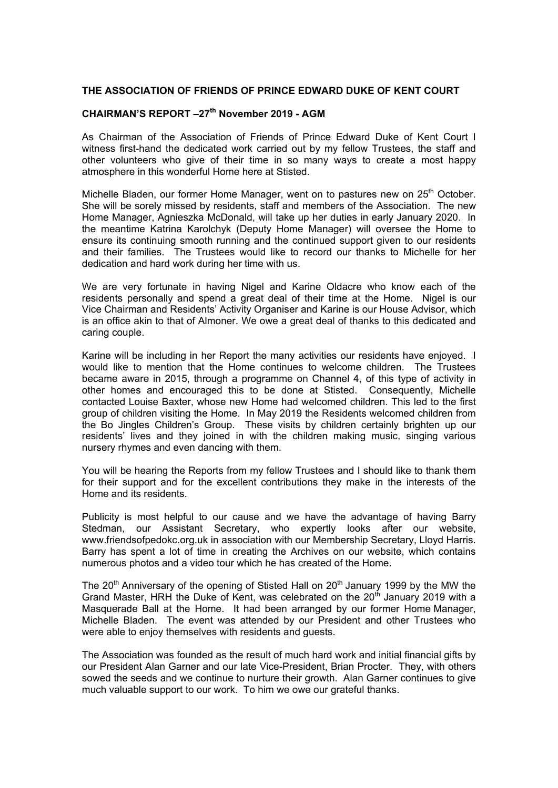## **THE ASSOCIATION OF FRIENDS OF PRINCE EDWARD DUKE OF KENT COURT**

## **CHAIRMAN'S REPORT –27th November 2019 - AGM**

As Chairman of the Association of Friends of Prince Edward Duke of Kent Court I witness first-hand the dedicated work carried out by my fellow Trustees, the staff and other volunteers who give of their time in so many ways to create a most happy atmosphere in this wonderful Home here at Stisted.

Michelle Bladen, our former Home Manager, went on to pastures new on 25<sup>th</sup> October. She will be sorely missed by residents, staff and members of the Association. The new Home Manager, Agnieszka McDonald, will take up her duties in early January 2020. In the meantime Katrina Karolchyk (Deputy Home Manager) will oversee the Home to ensure its continuing smooth running and the continued support given to our residents and their families. The Trustees would like to record our thanks to Michelle for her dedication and hard work during her time with us.

We are very fortunate in having Nigel and Karine Oldacre who know each of the residents personally and spend a great deal of their time at the Home. Nigel is our Vice Chairman and Residents' Activity Organiser and Karine is our House Advisor, which is an office akin to that of Almoner. We owe a great deal of thanks to this dedicated and caring couple.

Karine will be including in her Report the many activities our residents have enjoyed. I would like to mention that the Home continues to welcome children. The Trustees became aware in 2015, through a programme on Channel 4, of this type of activity in other homes and encouraged this to be done at Stisted. Consequently, Michelle contacted Louise Baxter, whose new Home had welcomed children. This led to the first group of children visiting the Home. In May 2019 the Residents welcomed children from the Bo Jingles Children's Group. These visits by children certainly brighten up our residents' lives and they joined in with the children making music, singing various nursery rhymes and even dancing with them.

You will be hearing the Reports from my fellow Trustees and I should like to thank them for their support and for the excellent contributions they make in the interests of the Home and its residents.

Publicity is most helpful to our cause and we have the advantage of having Barry Stedman, our Assistant Secretary, who expertly looks after our website, www.friendsofpedokc.org.uk in association with our Membership Secretary, Lloyd Harris. Barry has spent a lot of time in creating the Archives on our website, which contains numerous photos and a video tour which he has created of the Home.

The 20<sup>th</sup> Anniversary of the opening of Stisted Hall on  $20<sup>th</sup>$  January 1999 by the MW the Grand Master, HRH the Duke of Kent, was celebrated on the  $20<sup>th</sup>$  January 2019 with a Masquerade Ball at the Home. It had been arranged by our former Home Manager, Michelle Bladen. The event was attended by our President and other Trustees who were able to enjoy themselves with residents and guests.

The Association was founded as the result of much hard work and initial financial gifts by our President Alan Garner and our late Vice-President, Brian Procter. They, with others sowed the seeds and we continue to nurture their growth. Alan Garner continues to give much valuable support to our work. To him we owe our grateful thanks.